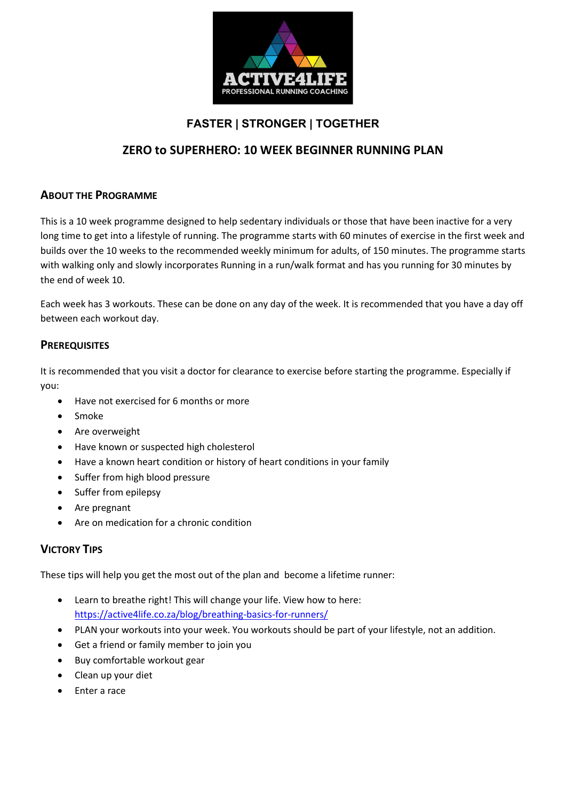

## FASTER | STRONGER | TOGETHER

## ZERO to SUPERHERO: 10 WEEK BEGINNER RUNNING PLAN

### ABOUT THE PROGRAMME

This is a 10 week programme designed to help sedentary individuals or those that have been inactive for a very long time to get into a lifestyle of running. The programme starts with 60 minutes of exercise in the first week and builds over the 10 weeks to the recommended weekly minimum for adults, of 150 minutes. The programme starts with walking only and slowly incorporates Running in a run/walk format and has you running for 30 minutes by the end of week 10.

Each week has 3 workouts. These can be done on any day of the week. It is recommended that you have a day off between each workout day.

#### **PREREQUISITES**

It is recommended that you visit a doctor for clearance to exercise before starting the programme. Especially if you:

- Have not exercised for 6 months or more
- Smoke
- Are overweight
- Have known or suspected high cholesterol
- Have a known heart condition or history of heart conditions in your family
- Suffer from high blood pressure
- Suffer from epilepsy
- Are pregnant
- Are on medication for a chronic condition

### VICTORY TIPS

These tips will help you get the most out of the plan and become a lifetime runner:

- Learn to breathe right! This will change your life. View how to here: https://active4life.co.za/blog/breathing-basics-for-runners/
- PLAN your workouts into your week. You workouts should be part of your lifestyle, not an addition.
- Get a friend or family member to join you
- Buy comfortable workout gear
- Clean up your diet
- Enter a race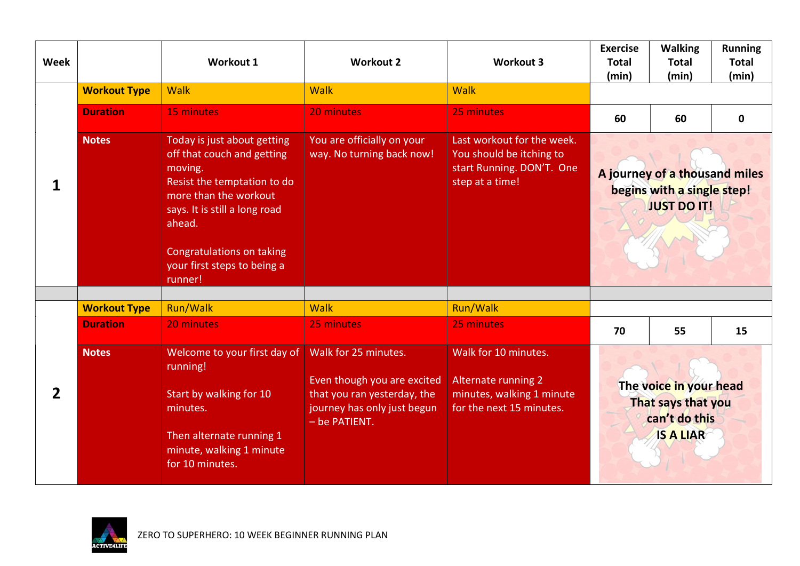| <b>Week</b> |                     | <b>Workout 1</b>                                                                                                                                                                                                                                      | <b>Workout 2</b>                                                                                                                   | <b>Workout 3</b>                                                                                            | <b>Exercise</b><br><b>Total</b><br>(min)                                          | <b>Walking</b><br><b>Total</b><br>(min) | <b>Running</b><br><b>Total</b><br>(min) |
|-------------|---------------------|-------------------------------------------------------------------------------------------------------------------------------------------------------------------------------------------------------------------------------------------------------|------------------------------------------------------------------------------------------------------------------------------------|-------------------------------------------------------------------------------------------------------------|-----------------------------------------------------------------------------------|-----------------------------------------|-----------------------------------------|
|             | <b>Workout Type</b> | <b>Walk</b>                                                                                                                                                                                                                                           | <b>Walk</b>                                                                                                                        | <b>Walk</b>                                                                                                 |                                                                                   |                                         |                                         |
|             | <b>Duration</b>     | 15 minutes                                                                                                                                                                                                                                            | 20 minutes                                                                                                                         | 25 minutes                                                                                                  | 60                                                                                | 60                                      | $\mathbf 0$                             |
|             | <b>Notes</b>        | Today is just about getting<br>off that couch and getting<br>moving.<br>Resist the temptation to do<br>more than the workout<br>says. It is still a long road<br>ahead.<br><b>Congratulations on taking</b><br>your first steps to being a<br>runner! | You are officially on your<br>way. No turning back now!                                                                            | Last workout for the week.<br>You should be itching to<br>start Running. DON'T. One<br>step at a time!      | A journey of a thousand miles<br>begins with a single step!<br><b>JUST DO IT!</b> |                                         |                                         |
|             | <b>Workout Type</b> | <b>Run/Walk</b>                                                                                                                                                                                                                                       | <b>Walk</b>                                                                                                                        | <b>Run/Walk</b>                                                                                             |                                                                                   |                                         |                                         |
|             | <b>Duration</b>     | 20 minutes                                                                                                                                                                                                                                            | 25 minutes                                                                                                                         | 25 minutes                                                                                                  | 70                                                                                | 55                                      | 15                                      |
| 2           | <b>Notes</b>        | Welcome to your first day of<br>running!<br>Start by walking for 10<br>minutes.<br>Then alternate running 1<br>minute, walking 1 minute<br>for 10 minutes.                                                                                            | Walk for 25 minutes.<br>Even though you are excited<br>that you ran yesterday, the<br>journey has only just begun<br>- be PATIENT. | Walk for 10 minutes.<br><b>Alternate running 2</b><br>minutes, walking 1 minute<br>for the next 15 minutes. | The voice in your head<br>That says that you<br>can't do this<br><b>IS A LIAR</b> |                                         |                                         |

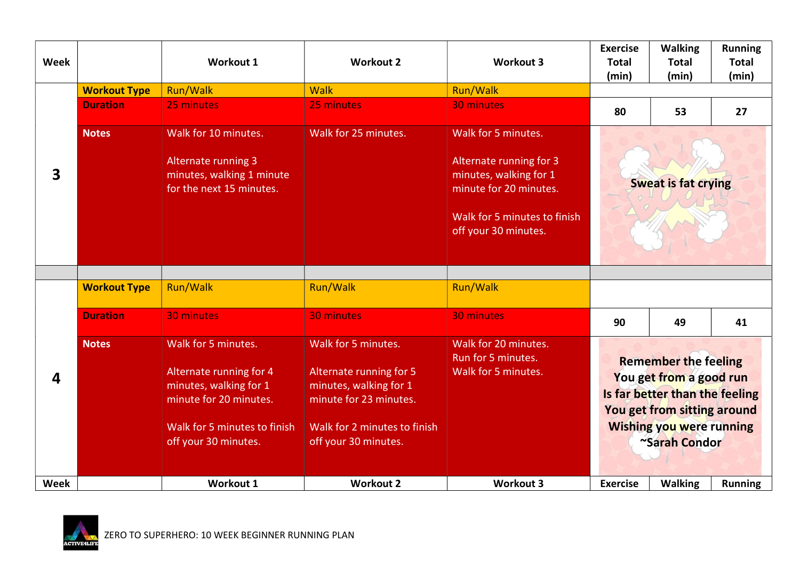| <b>Week</b> |                     | Workout 1                                                                                                                                                         | <b>Workout 2</b>                                                                                                                                           | <b>Workout 3</b>                                                                                                                                           | <b>Exercise</b><br><b>Total</b><br>(min)                                                                                                                                    | <b>Walking</b><br><b>Total</b><br>(min) | <b>Running</b><br><b>Total</b><br>(min) |
|-------------|---------------------|-------------------------------------------------------------------------------------------------------------------------------------------------------------------|------------------------------------------------------------------------------------------------------------------------------------------------------------|------------------------------------------------------------------------------------------------------------------------------------------------------------|-----------------------------------------------------------------------------------------------------------------------------------------------------------------------------|-----------------------------------------|-----------------------------------------|
|             | <b>Workout Type</b> | Run/Walk                                                                                                                                                          | <b>Walk</b>                                                                                                                                                | Run/Walk                                                                                                                                                   |                                                                                                                                                                             |                                         |                                         |
|             | <b>Duration</b>     | 25 minutes                                                                                                                                                        | 25 minutes                                                                                                                                                 | 30 minutes                                                                                                                                                 | 80                                                                                                                                                                          | 53                                      | 27                                      |
| 3           | <b>Notes</b>        | Walk for 10 minutes.<br><b>Alternate running 3</b><br>minutes, walking 1 minute<br>for the next 15 minutes.                                                       | Walk for 25 minutes.                                                                                                                                       | Walk for 5 minutes.<br>Alternate running for 3<br>minutes, walking for 1<br>minute for 20 minutes.<br>Walk for 5 minutes to finish<br>off your 30 minutes. | <b>Sweat is fat crying</b>                                                                                                                                                  |                                         |                                         |
| 4           | <b>Workout Type</b> | <b>Run/Walk</b>                                                                                                                                                   | <b>Run/Walk</b>                                                                                                                                            | Run/Walk                                                                                                                                                   |                                                                                                                                                                             |                                         |                                         |
|             | <b>Duration</b>     | <b>30 minutes</b>                                                                                                                                                 | 30 minutes                                                                                                                                                 | 30 minutes                                                                                                                                                 | 90                                                                                                                                                                          | 49                                      | 41                                      |
|             | <b>Notes</b>        | Walk for 5 minutes.<br><b>Alternate running for 4</b><br>minutes, walking for 1<br>minute for 20 minutes.<br>Walk for 5 minutes to finish<br>off your 30 minutes. | Walk for 5 minutes.<br>Alternate running for 5<br>minutes, walking for 1<br>minute for 23 minutes.<br>Walk for 2 minutes to finish<br>off your 30 minutes. | Walk for 20 minutes.<br>Run for 5 minutes.<br>Walk for 5 minutes.                                                                                          | <b>Remember the feeling</b><br>You get from a good run<br>Is far better than the feeling<br>You get from sitting around<br><b>Wishing you were running</b><br>~Sarah Condor |                                         |                                         |
| <b>Week</b> |                     | <b>Workout 1</b>                                                                                                                                                  | <b>Workout 2</b>                                                                                                                                           | <b>Workout 3</b>                                                                                                                                           | <b>Exercise</b>                                                                                                                                                             | <b>Walking</b>                          | <b>Running</b>                          |

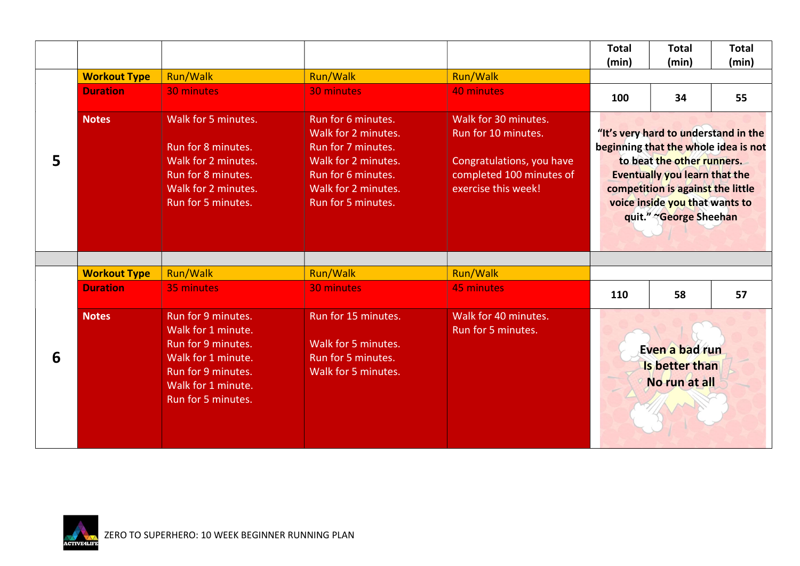|   |                     |                                                                                                                                                        |                                                                                                                                                           |                                                                                                                             | <b>Total</b><br>(min)                                                                                                                                                                                                                               | <b>Total</b><br>(min) | <b>Total</b><br>(min) |
|---|---------------------|--------------------------------------------------------------------------------------------------------------------------------------------------------|-----------------------------------------------------------------------------------------------------------------------------------------------------------|-----------------------------------------------------------------------------------------------------------------------------|-----------------------------------------------------------------------------------------------------------------------------------------------------------------------------------------------------------------------------------------------------|-----------------------|-----------------------|
|   | <b>Workout Type</b> | <b>Run/Walk</b>                                                                                                                                        | Run/Walk                                                                                                                                                  | Run/Walk                                                                                                                    |                                                                                                                                                                                                                                                     |                       |                       |
| 5 | <b>Duration</b>     | <b>30 minutes</b>                                                                                                                                      | <b>30 minutes</b>                                                                                                                                         | 40 minutes                                                                                                                  | 100                                                                                                                                                                                                                                                 | 34                    | 55                    |
|   | <b>Notes</b>        | Walk for 5 minutes.<br>Run for 8 minutes.<br>Walk for 2 minutes.<br>Run for 8 minutes.<br>Walk for 2 minutes.<br>Run for 5 minutes.                    | Run for 6 minutes.<br>Walk for 2 minutes.<br>Run for 7 minutes.<br>Walk for 2 minutes.<br>Run for 6 minutes.<br>Walk for 2 minutes.<br>Run for 5 minutes. | Walk for 30 minutes.<br>Run for 10 minutes.<br>Congratulations, you have<br>completed 100 minutes of<br>exercise this week! | "It's very hard to understand in the<br>beginning that the whole idea is not<br>to beat the other runners.<br><b>Eventually you learn that the</b><br>competition is against the little<br>voice inside you that wants to<br>quit." «George Sheehan |                       |                       |
|   | <b>Workout Type</b> | <b>Run/Walk</b>                                                                                                                                        | Run/Walk                                                                                                                                                  | Run/Walk                                                                                                                    |                                                                                                                                                                                                                                                     |                       |                       |
|   | <b>Duration</b>     | 35 minutes                                                                                                                                             | <b>30 minutes</b>                                                                                                                                         | <b>45 minutes</b>                                                                                                           | 110                                                                                                                                                                                                                                                 | 58                    | 57                    |
| 6 | <b>Notes</b>        | Run for 9 minutes.<br>Walk for 1 minute.<br>Run for 9 minutes.<br>Walk for 1 minute.<br>Run for 9 minutes.<br>Walk for 1 minute.<br>Run for 5 minutes. | Run for 15 minutes.<br>Walk for 5 minutes.<br>Run for 5 minutes.<br>Walk for 5 minutes.                                                                   | Walk for 40 minutes.<br>Run for 5 minutes.                                                                                  | Even a bad run<br>Is better than<br>No run at all                                                                                                                                                                                                   |                       |                       |

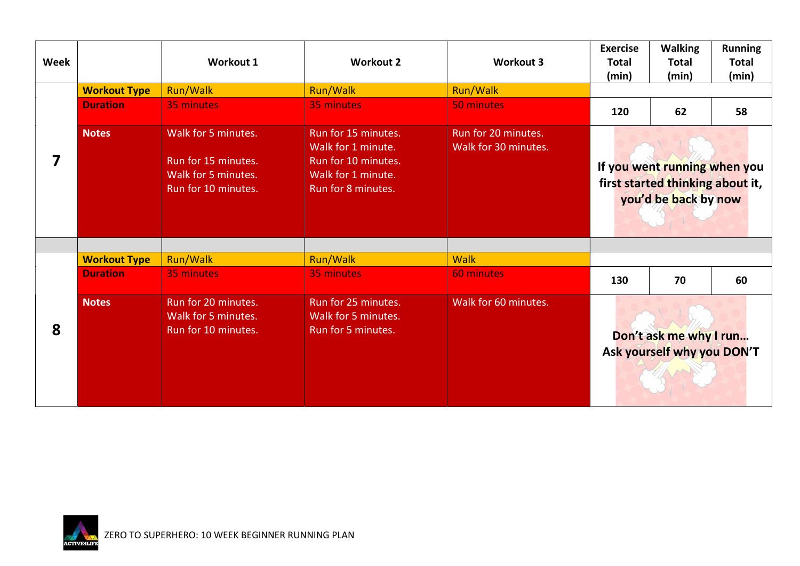| <b>Week</b> |                     | Workout 1                                                                                | <b>Workout 2</b>                                                                                             | <b>Workout 3</b>                            | <b>Exercise</b><br><b>Total</b><br>(min)                                                 | <b>Walking</b><br><b>Total</b><br>(min) | <b>Running</b><br><b>Total</b><br>(min) |
|-------------|---------------------|------------------------------------------------------------------------------------------|--------------------------------------------------------------------------------------------------------------|---------------------------------------------|------------------------------------------------------------------------------------------|-----------------------------------------|-----------------------------------------|
|             | <b>Workout Type</b> | Run/Walk                                                                                 | Run/Walk                                                                                                     | <b>Run/Walk</b>                             |                                                                                          |                                         |                                         |
|             | <b>Duration</b>     | 35 minutes                                                                               | 35 minutes                                                                                                   | 50 minutes                                  | 120                                                                                      | 62                                      | 58                                      |
| 7           | <b>Notes</b>        | Walk for 5 minutes.<br>Run for 15 minutes.<br>Walk for 5 minutes.<br>Run for 10 minutes. | Run for 15 minutes.<br>Walk for 1 minute.<br>Run for 10 minutes.<br>Walk for 1 minute.<br>Run for 8 minutes. | Run for 20 minutes.<br>Walk for 30 minutes. | If you went running when you<br>first started thinking about it,<br>you'd be back by now |                                         |                                         |
|             | <b>Workout Type</b> | <b>Run/Walk</b>                                                                          | Run/Walk                                                                                                     | <b>Walk</b>                                 |                                                                                          |                                         |                                         |
|             | <b>Duration</b>     | 35 minutes                                                                               | 35 minutes                                                                                                   | 60 minutes                                  | 130                                                                                      | 70                                      | 60                                      |
| 8           | <b>Notes</b>        | Run for 20 minutes.<br>Walk for 5 minutes.<br>Run for 10 minutes.                        | Run for 25 minutes.<br>Walk for 5 minutes.<br>Run for 5 minutes.                                             | Walk for 60 minutes.                        | Don't ask me why I run<br>Ask yourself why you DON'T                                     |                                         |                                         |